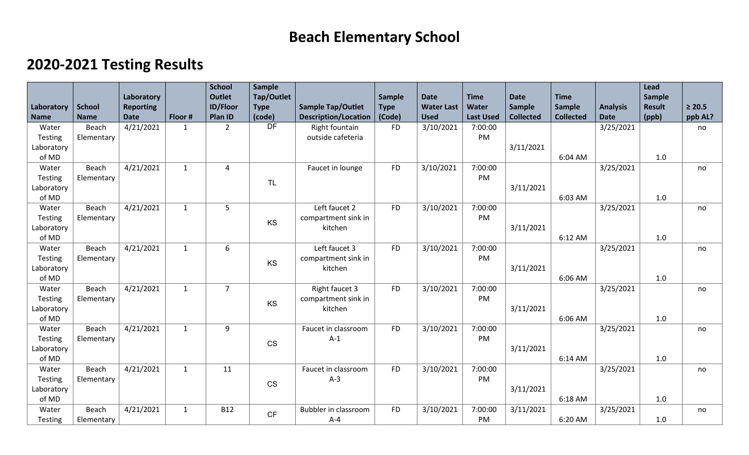## **Beach Elementary School**

## **2020-2021 Testing Results**

|                |               |                  |              | <b>School</b>   | Sample       |                             |             |                   |                  |                  |                  |                 | Lead          |             |
|----------------|---------------|------------------|--------------|-----------------|--------------|-----------------------------|-------------|-------------------|------------------|------------------|------------------|-----------------|---------------|-------------|
|                |               | Laboratory       |              | <b>Outlet</b>   | Tap/Outlet   |                             | Sample      | <b>Date</b>       | <b>Time</b>      | <b>Date</b>      | <b>Time</b>      |                 | <b>Sample</b> |             |
| Laboratory     | <b>School</b> | <b>Reporting</b> | Floor #      | <b>ID/Floor</b> | <b>Type</b>  | <b>Sample Tap/Outlet</b>    | <b>Type</b> | <b>Water Last</b> | <b>Water</b>     | <b>Sample</b>    | <b>Sample</b>    | <b>Analysis</b> | <b>Result</b> | $\geq 20.5$ |
| <b>Name</b>    | <b>Name</b>   | <b>Date</b>      |              | Plan ID         | (code)<br>DF | <b>Description/Location</b> | (Code)      | <b>Used</b>       | <b>Last Used</b> | <b>Collected</b> | <b>Collected</b> | <b>Date</b>     | (ppb)         | ppb AL?     |
| Water          | Beach         | 4/21/2021        | $\mathbf{1}$ | $\overline{2}$  |              | Right fountain              | <b>FD</b>   | 3/10/2021         | 7:00:00          |                  |                  | 3/25/2021       |               | no          |
| Testing        | Elementary    |                  |              |                 |              | outside cafeteria           |             |                   | PM               |                  |                  |                 |               |             |
| Laboratory     |               |                  |              |                 |              |                             |             |                   |                  | 3/11/2021        |                  |                 |               |             |
| of MD          |               |                  |              |                 |              |                             |             |                   |                  |                  | 6:04 AM          |                 | 1.0           |             |
| Water          | Beach         | 4/21/2021        | $\mathbf{1}$ | $\overline{4}$  |              | Faucet in lounge            | <b>FD</b>   | 3/10/2021         | 7:00:00          |                  |                  | 3/25/2021       |               | no          |
| Testing        | Elementary    |                  |              |                 | TL           |                             |             |                   | PM               |                  |                  |                 |               |             |
| Laboratory     |               |                  |              |                 |              |                             |             |                   |                  | 3/11/2021        |                  |                 |               |             |
| of MD          |               |                  |              |                 |              |                             |             |                   |                  |                  | 6:03 AM          |                 | 1.0           |             |
| Water          | <b>Beach</b>  | 4/21/2021        | $\mathbf{1}$ | 5               |              | Left faucet 2               | <b>FD</b>   | 3/10/2021         | 7:00:00          |                  |                  | 3/25/2021       |               | no          |
| Testing        | Elementary    |                  |              |                 | KS           | compartment sink in         |             |                   | PM               |                  |                  |                 |               |             |
| Laboratory     |               |                  |              |                 |              | kitchen                     |             |                   |                  | 3/11/2021        |                  |                 |               |             |
| of MD          |               |                  |              |                 |              |                             |             |                   |                  |                  | 6:12 AM          |                 | 1.0           |             |
| Water          | Beach         | 4/21/2021        | $\mathbf{1}$ | 6               |              | Left faucet 3               | <b>FD</b>   | 3/10/2021         | 7:00:00          |                  |                  | 3/25/2021       |               | no          |
| <b>Testing</b> | Elementary    |                  |              |                 | KS           | compartment sink in         |             |                   | PM               |                  |                  |                 |               |             |
| Laboratory     |               |                  |              |                 |              | kitchen                     |             |                   |                  | 3/11/2021        |                  |                 |               |             |
| of MD          |               |                  |              |                 |              |                             |             |                   |                  |                  | 6:06 AM          |                 | 1.0           |             |
| Water          | Beach         | 4/21/2021        | $\mathbf{1}$ | $\overline{7}$  |              | Right faucet 3              | <b>FD</b>   | 3/10/2021         | 7:00:00          |                  |                  | 3/25/2021       |               | no          |
| Testing        | Elementary    |                  |              |                 |              | compartment sink in         |             |                   | PM               |                  |                  |                 |               |             |
| Laboratory     |               |                  |              |                 | KS           | kitchen                     |             |                   |                  | 3/11/2021        |                  |                 |               |             |
| of MD          |               |                  |              |                 |              |                             |             |                   |                  |                  | 6:06 AM          |                 | 1.0           |             |
| Water          | Beach         | 4/21/2021        | $\mathbf{1}$ | 9               |              | Faucet in classroom         | <b>FD</b>   | 3/10/2021         | 7:00:00          |                  |                  | 3/25/2021       |               | no          |
| Testing        | Elementary    |                  |              |                 |              | $A-1$                       |             |                   | PM               |                  |                  |                 |               |             |
| Laboratory     |               |                  |              |                 | <b>CS</b>    |                             |             |                   |                  | 3/11/2021        |                  |                 |               |             |
| of MD          |               |                  |              |                 |              |                             |             |                   |                  |                  | 6:14 AM          |                 | 1.0           |             |
| Water          | Beach         | 4/21/2021        | $\mathbf{1}$ | 11              |              | Faucet in classroom         | <b>FD</b>   | 3/10/2021         | 7:00:00          |                  |                  | 3/25/2021       |               | no          |
| Testing        | Elementary    |                  |              |                 |              | $A-3$                       |             |                   | PM               |                  |                  |                 |               |             |
| Laboratory     |               |                  |              |                 | <b>CS</b>    |                             |             |                   |                  | 3/11/2021        |                  |                 |               |             |
| of MD          |               |                  |              |                 |              |                             |             |                   |                  |                  | 6:18 AM          |                 | 1.0           |             |
| Water          | Beach         | 4/21/2021        | $\mathbf{1}$ | <b>B12</b>      |              | <b>Bubbler in classroom</b> | <b>FD</b>   | 3/10/2021         | 7:00:00          | 3/11/2021        |                  | 3/25/2021       |               | no          |
| Testing        | Elementary    |                  |              |                 | CF           | $A - 4$                     |             |                   | PM               |                  | 6:20 AM          |                 | 1.0           |             |
|                |               |                  |              |                 |              |                             |             |                   |                  |                  |                  |                 |               |             |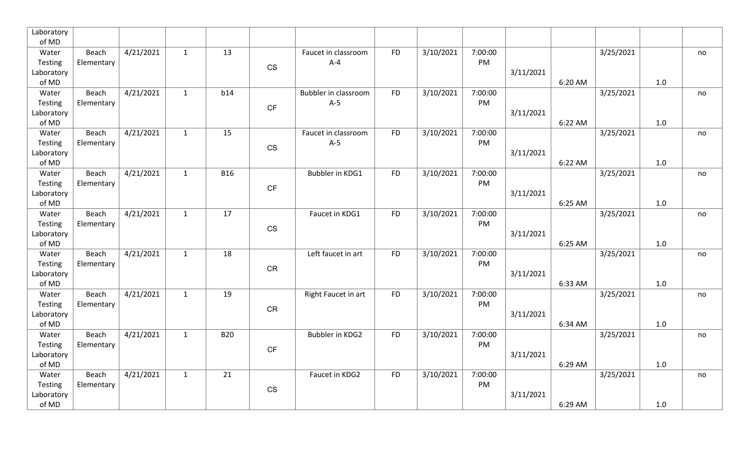| Laboratory            |            |           |              |            |                        |                             |           |           |               |           |         |           |     |    |
|-----------------------|------------|-----------|--------------|------------|------------------------|-----------------------------|-----------|-----------|---------------|-----------|---------|-----------|-----|----|
| of MD                 |            |           |              |            |                        |                             |           |           |               |           |         |           |     |    |
| Water                 | Beach      | 4/21/2021 | $\mathbf{1}$ | 13         |                        | Faucet in classroom         | <b>FD</b> | 3/10/2021 | 7:00:00       |           |         | 3/25/2021 |     | no |
| Testing               | Elementary |           |              |            | CS                     | $A - 4$                     |           |           | PM            |           |         |           |     |    |
| Laboratory            |            |           |              |            |                        |                             |           |           |               | 3/11/2021 |         |           |     |    |
| of MD                 |            |           |              |            |                        |                             |           |           |               |           | 6:20 AM |           | 1.0 |    |
| Water                 | Beach      | 4/21/2021 | $\mathbf{1}$ | b14        |                        | <b>Bubbler in classroom</b> | <b>FD</b> | 3/10/2021 | 7:00:00<br>PM |           |         | 3/25/2021 |     | no |
| Testing<br>Laboratory | Elementary |           |              |            | CF                     | $A-5$                       |           |           |               | 3/11/2021 |         |           |     |    |
| of MD                 |            |           |              |            |                        |                             |           |           |               |           | 6:22 AM |           | 1.0 |    |
| Water                 | Beach      | 4/21/2021 | $\mathbf{1}$ | 15         |                        | Faucet in classroom         | <b>FD</b> | 3/10/2021 | 7:00:00       |           |         | 3/25/2021 |     | no |
| Testing               | Elementary |           |              |            |                        | $A-5$                       |           |           | PM            |           |         |           |     |    |
| Laboratory            |            |           |              |            | $\mathbb{C}\mathbb{S}$ |                             |           |           |               | 3/11/2021 |         |           |     |    |
| of MD                 |            |           |              |            |                        |                             |           |           |               |           | 6:22 AM |           | 1.0 |    |
| Water                 | Beach      | 4/21/2021 | $\mathbf{1}$ | <b>B16</b> |                        | Bubbler in KDG1             | <b>FD</b> | 3/10/2021 | 7:00:00       |           |         | 3/25/2021 |     | no |
| Testing               | Elementary |           |              |            |                        |                             |           |           | PM            |           |         |           |     |    |
| Laboratory            |            |           |              |            | $\mathsf{C}\mathsf{F}$ |                             |           |           |               | 3/11/2021 |         |           |     |    |
| of MD                 |            |           |              |            |                        |                             |           |           |               |           | 6:25 AM |           | 1.0 |    |
| Water                 | Beach      | 4/21/2021 | $\mathbf{1}$ | 17         |                        | Faucet in KDG1              | <b>FD</b> | 3/10/2021 | 7:00:00       |           |         | 3/25/2021 |     | no |
| Testing               | Elementary |           |              |            | CS                     |                             |           |           | PM            |           |         |           |     |    |
| Laboratory            |            |           |              |            |                        |                             |           |           |               | 3/11/2021 |         |           |     |    |
| of MD                 |            |           |              |            |                        |                             |           |           |               |           | 6:25 AM |           | 1.0 |    |
| Water                 | Beach      | 4/21/2021 | $\mathbf{1}$ | 18         |                        | Left faucet in art          | <b>FD</b> | 3/10/2021 | 7:00:00       |           |         | 3/25/2021 |     | no |
| Testing               | Elementary |           |              |            | ${\sf CR}$             |                             |           |           | PM            |           |         |           |     |    |
| Laboratory            |            |           |              |            |                        |                             |           |           |               | 3/11/2021 |         |           |     |    |
| of MD                 |            |           |              |            |                        |                             |           |           |               |           | 6:33 AM |           | 1.0 |    |
| Water                 | Beach      | 4/21/2021 | $\mathbf{1}$ | 19         |                        | Right Faucet in art         | <b>FD</b> | 3/10/2021 | 7:00:00       |           |         | 3/25/2021 |     | no |
| Testing               | Elementary |           |              |            | ${\sf CR}$             |                             |           |           | PM            |           |         |           |     |    |
| Laboratory<br>of MD   |            |           |              |            |                        |                             |           |           |               | 3/11/2021 |         |           | 1.0 |    |
| Water                 | Beach      | 4/21/2021 | $\mathbf{1}$ | <b>B20</b> |                        | Bubbler in KDG2             | <b>FD</b> | 3/10/2021 | 7:00:00       |           | 6:34 AM | 3/25/2021 |     |    |
| Testing               | Elementary |           |              |            |                        |                             |           |           | PM            |           |         |           |     | no |
| Laboratory            |            |           |              |            | CF                     |                             |           |           |               | 3/11/2021 |         |           |     |    |
| of MD                 |            |           |              |            |                        |                             |           |           |               |           | 6:29 AM |           | 1.0 |    |
| Water                 | Beach      | 4/21/2021 | $\mathbf{1}$ | 21         |                        | Faucet in KDG2              | <b>FD</b> | 3/10/2021 | 7:00:00       |           |         | 3/25/2021 |     | no |
| Testing               | Elementary |           |              |            |                        |                             |           |           | PM            |           |         |           |     |    |
| Laboratory            |            |           |              |            | $\mathbb{C}\mathbb{S}$ |                             |           |           |               | 3/11/2021 |         |           |     |    |
| of MD                 |            |           |              |            |                        |                             |           |           |               |           | 6:29 AM |           | 1.0 |    |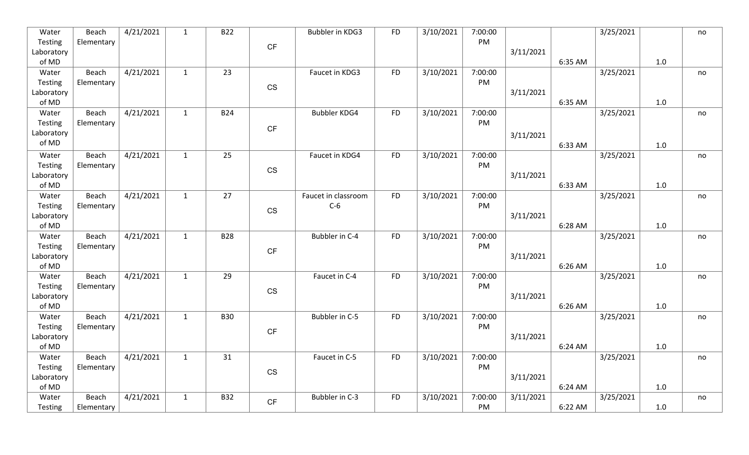| Water                 | Beach      | 4/21/2021 | $\mathbf{1}$ | <b>B22</b>      |                        | Bubbler in KDG3     | <b>FD</b> | 3/10/2021 | 7:00:00       |           |         | 3/25/2021 |       | no |
|-----------------------|------------|-----------|--------------|-----------------|------------------------|---------------------|-----------|-----------|---------------|-----------|---------|-----------|-------|----|
| Testing               | Elementary |           |              |                 | CF                     |                     |           |           | PM            |           |         |           |       |    |
| Laboratory            |            |           |              |                 |                        |                     |           |           |               | 3/11/2021 |         |           |       |    |
| of MD                 |            |           |              |                 |                        |                     |           |           |               |           | 6:35 AM |           | 1.0   |    |
| Water                 | Beach      | 4/21/2021 | $\mathbf{1}$ | 23              |                        | Faucet in KDG3      | <b>FD</b> | 3/10/2021 | 7:00:00<br>PM |           |         | 3/25/2021 |       | no |
| Testing<br>Laboratory | Elementary |           |              |                 | CS                     |                     |           |           |               | 3/11/2021 |         |           |       |    |
| of MD                 |            |           |              |                 |                        |                     |           |           |               |           | 6:35 AM |           | 1.0   |    |
| Water                 | Beach      | 4/21/2021 | $\mathbf{1}$ | <b>B24</b>      |                        | <b>Bubbler KDG4</b> | <b>FD</b> | 3/10/2021 | 7:00:00       |           |         | 3/25/2021 |       | no |
| Testing               | Elementary |           |              |                 |                        |                     |           |           | PM            |           |         |           |       |    |
| Laboratory            |            |           |              |                 | CF                     |                     |           |           |               | 3/11/2021 |         |           |       |    |
| of MD                 |            |           |              |                 |                        |                     |           |           |               |           | 6:33 AM |           | 1.0   |    |
| Water                 | Beach      | 4/21/2021 | $\mathbf{1}$ | 25              |                        | Faucet in KDG4      | <b>FD</b> | 3/10/2021 | 7:00:00       |           |         | 3/25/2021 |       | no |
| Testing               | Elementary |           |              |                 | $\mathbb{C}\mathbb{S}$ |                     |           |           | PM            |           |         |           |       |    |
| Laboratory            |            |           |              |                 |                        |                     |           |           |               | 3/11/2021 |         |           |       |    |
| of MD                 |            |           |              |                 |                        |                     |           |           |               |           | 6:33 AM |           | 1.0   |    |
| Water                 | Beach      | 4/21/2021 | $\mathbf{1}$ | $\overline{27}$ |                        | Faucet in classroom | <b>FD</b> | 3/10/2021 | 7:00:00       |           |         | 3/25/2021 |       | no |
| Testing               | Elementary |           |              |                 | CS                     | $C-6$               |           |           | PM            |           |         |           |       |    |
| Laboratory            |            |           |              |                 |                        |                     |           |           |               | 3/11/2021 |         |           |       |    |
| of MD<br>Water        | Beach      | 4/21/2021 | $\mathbf{1}$ | <b>B28</b>      |                        | Bubbler in C-4      | <b>FD</b> | 3/10/2021 | 7:00:00       |           | 6:28 AM | 3/25/2021 | 1.0   |    |
| Testing               | Elementary |           |              |                 |                        |                     |           |           | PM            |           |         |           |       | no |
| Laboratory            |            |           |              |                 | CF                     |                     |           |           |               | 3/11/2021 |         |           |       |    |
| of MD                 |            |           |              |                 |                        |                     |           |           |               |           | 6:26 AM |           | 1.0   |    |
| Water                 | Beach      | 4/21/2021 | $\mathbf{1}$ | 29              |                        | Faucet in C-4       | <b>FD</b> | 3/10/2021 | 7:00:00       |           |         | 3/25/2021 |       | no |
| Testing               | Elementary |           |              |                 | $\mathbb{C}\mathbb{S}$ |                     |           |           | PM            |           |         |           |       |    |
| Laboratory            |            |           |              |                 |                        |                     |           |           |               | 3/11/2021 |         |           |       |    |
| of MD                 |            |           |              |                 |                        |                     |           |           |               |           | 6:26 AM |           | 1.0   |    |
| Water                 | Beach      | 4/21/2021 | $\mathbf{1}$ | <b>B30</b>      |                        | Bubbler in C-5      | <b>FD</b> | 3/10/2021 | 7:00:00       |           |         | 3/25/2021 |       | no |
| Testing               | Elementary |           |              |                 | $\mathsf{C}\mathsf{F}$ |                     |           |           | PM            |           |         |           |       |    |
| Laboratory            |            |           |              |                 |                        |                     |           |           |               | 3/11/2021 |         |           | $1.0$ |    |
| of MD<br>Water        | Beach      | 4/21/2021 | $\mathbf{1}$ | 31              |                        | Faucet in C-5       | <b>FD</b> | 3/10/2021 | 7:00:00       |           | 6:24 AM | 3/25/2021 |       |    |
| Testing               | Elementary |           |              |                 |                        |                     |           |           | PM            |           |         |           |       | no |
| Laboratory            |            |           |              |                 | CS                     |                     |           |           |               | 3/11/2021 |         |           |       |    |
| of MD                 |            |           |              |                 |                        |                     |           |           |               |           | 6:24 AM |           | 1.0   |    |
| Water                 | Beach      | 4/21/2021 | $\mathbf{1}$ | <b>B32</b>      | CF                     | Bubbler in C-3      | <b>FD</b> | 3/10/2021 | 7:00:00       | 3/11/2021 |         | 3/25/2021 |       | no |
| Testing               | Elementary |           |              |                 |                        |                     |           |           | PM            |           | 6:22 AM |           | 1.0   |    |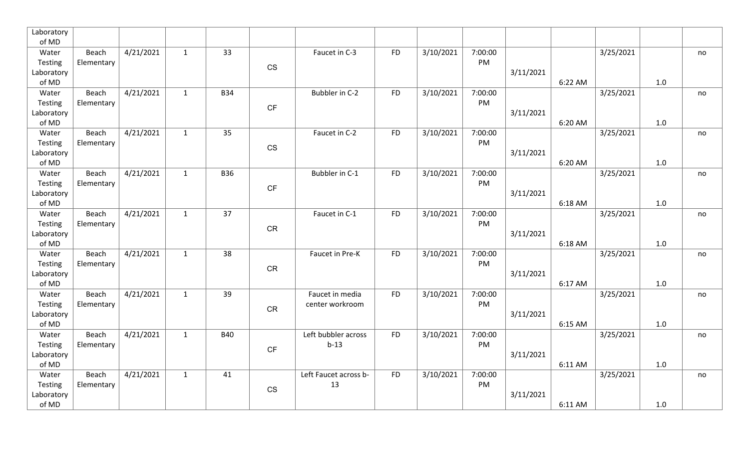| Laboratory       |                     |           |              |            |                        |                             |           |           |               |           |         |           |     |    |
|------------------|---------------------|-----------|--------------|------------|------------------------|-----------------------------|-----------|-----------|---------------|-----------|---------|-----------|-----|----|
| of MD            |                     |           |              |            |                        |                             |           |           |               |           |         |           |     |    |
| Water            | Beach               | 4/21/2021 | $\mathbf{1}$ | 33         |                        | Faucet in C-3               | <b>FD</b> | 3/10/2021 | 7:00:00       |           |         | 3/25/2021 |     | no |
| Testing          | Elementary          |           |              |            | <b>CS</b>              |                             |           |           | PM            |           |         |           |     |    |
| Laboratory       |                     |           |              |            |                        |                             |           |           |               | 3/11/2021 |         |           |     |    |
| of MD            |                     |           |              |            |                        |                             |           |           |               |           | 6:22 AM |           | 1.0 |    |
| Water            | Beach               | 4/21/2021 | $\mathbf{1}$ | <b>B34</b> |                        | Bubbler in C-2              | <b>FD</b> | 3/10/2021 | 7:00:00       |           |         | 3/25/2021 |     | no |
| Testing          | Elementary          |           |              |            | $\mathsf{C}\mathsf{F}$ |                             |           |           | PM            |           |         |           |     |    |
| Laboratory       |                     |           |              |            |                        |                             |           |           |               | 3/11/2021 | 6:20 AM |           |     |    |
| of MD<br>Water   | Beach               | 4/21/2021 | $\mathbf{1}$ | 35         |                        | Faucet in C-2               | <b>FD</b> |           | 7:00:00       |           |         | 3/25/2021 | 1.0 |    |
| Testing          | Elementary          |           |              |            |                        |                             |           | 3/10/2021 | PM            |           |         |           |     | no |
| Laboratory       |                     |           |              |            | $\mathbb{C}\mathbb{S}$ |                             |           |           |               | 3/11/2021 |         |           |     |    |
| of MD            |                     |           |              |            |                        |                             |           |           |               |           | 6:20 AM |           | 1.0 |    |
| Water            | Beach               | 4/21/2021 | $\mathbf{1}$ | <b>B36</b> |                        | Bubbler in C-1              | <b>FD</b> | 3/10/2021 | 7:00:00       |           |         | 3/25/2021 |     | no |
| Testing          | Elementary          |           |              |            |                        |                             |           |           | PM            |           |         |           |     |    |
| Laboratory       |                     |           |              |            | CF                     |                             |           |           |               | 3/11/2021 |         |           |     |    |
| of MD            |                     |           |              |            |                        |                             |           |           |               |           | 6:18 AM |           | 1.0 |    |
| Water            | Beach               | 4/21/2021 | $\mathbf{1}$ | 37         |                        | Faucet in C-1               | <b>FD</b> | 3/10/2021 | 7:00:00       |           |         | 3/25/2021 |     | no |
| Testing          | Elementary          |           |              |            |                        |                             |           |           | PM            |           |         |           |     |    |
| Laboratory       |                     |           |              |            | ${\sf CR}$             |                             |           |           |               | 3/11/2021 |         |           |     |    |
| of MD            |                     |           |              |            |                        |                             |           |           |               |           | 6:18 AM |           | 1.0 |    |
| Water            | Beach               | 4/21/2021 | $\mathbf{1}$ | 38         |                        | Faucet in Pre-K             | <b>FD</b> | 3/10/2021 | 7:00:00       |           |         | 3/25/2021 |     | no |
| Testing          | Elementary          |           |              |            | CR                     |                             |           |           | PM            |           |         |           |     |    |
| Laboratory       |                     |           |              |            |                        |                             |           |           |               | 3/11/2021 |         |           |     |    |
| of MD            |                     |           |              |            |                        |                             |           |           |               |           | 6:17 AM |           | 1.0 |    |
| Water            | Beach               | 4/21/2021 | $\mathbf{1}$ | 39         |                        | Faucet in media             | <b>FD</b> | 3/10/2021 | 7:00:00       |           |         | 3/25/2021 |     | no |
| Testing          | Elementary          |           |              |            | CR                     | center workroom             |           |           | PM            |           |         |           |     |    |
| Laboratory       |                     |           |              |            |                        |                             |           |           |               | 3/11/2021 |         |           |     |    |
| of MD            |                     |           |              |            |                        |                             |           |           |               |           | 6:15 AM |           | 1.0 |    |
| Water            | Beach               | 4/21/2021 | $\mathbf{1}$ | <b>B40</b> |                        | Left bubbler across         | <b>FD</b> | 3/10/2021 | 7:00:00       |           |         | 3/25/2021 |     | no |
| Testing          | Elementary          |           |              |            | CF                     | $b-13$                      |           |           | PM            |           |         |           |     |    |
| Laboratory       |                     |           |              |            |                        |                             |           |           |               | 3/11/2021 |         |           |     |    |
| of MD            |                     |           |              |            |                        |                             |           |           |               |           | 6:11 AM |           | 1.0 |    |
| Water<br>Testing | Beach<br>Elementary | 4/21/2021 | $\mathbf{1}$ | 41         |                        | Left Faucet across b-<br>13 | <b>FD</b> | 3/10/2021 | 7:00:00<br>PM |           |         | 3/25/2021 |     | no |
| Laboratory       |                     |           |              |            | CS                     |                             |           |           |               | 3/11/2021 |         |           |     |    |
| of MD            |                     |           |              |            |                        |                             |           |           |               |           | 6:11 AM |           | 1.0 |    |
|                  |                     |           |              |            |                        |                             |           |           |               |           |         |           |     |    |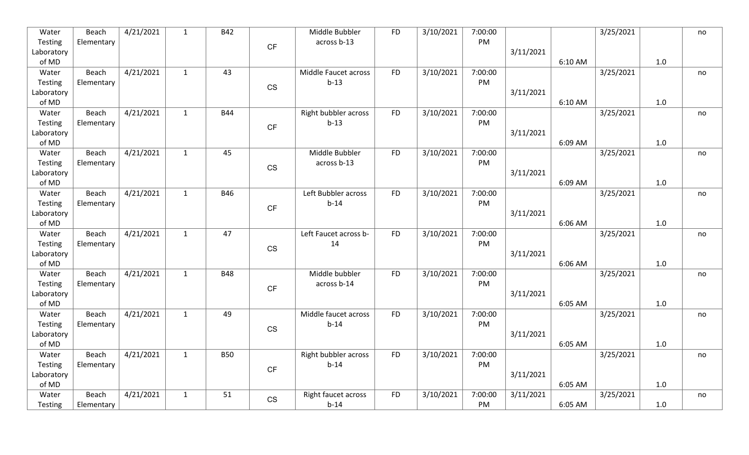| Water               | Beach      | 4/21/2021 | $\mathbf{1}$ | <b>B42</b> |                        | Middle Bubbler        | <b>FD</b> | 3/10/2021 | 7:00:00       |           |         | 3/25/2021 |     | no |
|---------------------|------------|-----------|--------------|------------|------------------------|-----------------------|-----------|-----------|---------------|-----------|---------|-----------|-----|----|
| Testing             | Elementary |           |              |            | CF                     | across b-13           |           |           | PM            |           |         |           |     |    |
| Laboratory          |            |           |              |            |                        |                       |           |           |               | 3/11/2021 |         |           |     |    |
| of MD               |            |           |              |            |                        |                       |           |           |               |           | 6:10 AM |           | 1.0 |    |
| Water               | Beach      | 4/21/2021 | $\mathbf{1}$ | 43         |                        | Middle Faucet across  | <b>FD</b> | 3/10/2021 | 7:00:00       |           |         | 3/25/2021 |     | no |
| Testing             | Elementary |           |              |            | CS                     | $b-13$                |           |           | PM            |           |         |           |     |    |
| Laboratory          |            |           |              |            |                        |                       |           |           |               | 3/11/2021 |         |           |     |    |
| of MD               |            |           |              |            |                        |                       |           |           |               |           | 6:10 AM |           | 1.0 |    |
| Water               | Beach      | 4/21/2021 | $\mathbf{1}$ | <b>B44</b> |                        | Right bubbler across  | <b>FD</b> | 3/10/2021 | 7:00:00       |           |         | 3/25/2021 |     | no |
| Testing             | Elementary |           |              |            | CF                     | $b-13$                |           |           | PM            |           |         |           |     |    |
| Laboratory          |            |           |              |            |                        |                       |           |           |               | 3/11/2021 |         |           |     |    |
| of MD               |            |           |              |            |                        | Middle Bubbler        |           |           |               |           | 6:09 AM |           | 1.0 |    |
| Water               | Beach      | 4/21/2021 | $\mathbf{1}$ | 45         |                        |                       | <b>FD</b> | 3/10/2021 | 7:00:00<br>PM |           |         | 3/25/2021 |     | no |
| Testing             | Elementary |           |              |            | <b>CS</b>              | across b-13           |           |           |               | 3/11/2021 |         |           |     |    |
| Laboratory<br>of MD |            |           |              |            |                        |                       |           |           |               |           | 6:09 AM |           | 1.0 |    |
| Water               | Beach      | 4/21/2021 | $\mathbf{1}$ | <b>B46</b> |                        | Left Bubbler across   | <b>FD</b> | 3/10/2021 | 7:00:00       |           |         | 3/25/2021 |     | no |
| Testing             | Elementary |           |              |            |                        | $b-14$                |           |           | PM            |           |         |           |     |    |
| Laboratory          |            |           |              |            | $\mathsf{C}\mathsf{F}$ |                       |           |           |               | 3/11/2021 |         |           |     |    |
| of MD               |            |           |              |            |                        |                       |           |           |               |           | 6:06 AM |           | 1.0 |    |
| Water               | Beach      | 4/21/2021 | $\mathbf{1}$ | 47         |                        | Left Faucet across b- | <b>FD</b> | 3/10/2021 | 7:00:00       |           |         | 3/25/2021 |     | no |
| Testing             | Elementary |           |              |            |                        | 14                    |           |           | PM            |           |         |           |     |    |
| Laboratory          |            |           |              |            | $\mathbb{C}\mathbb{S}$ |                       |           |           |               | 3/11/2021 |         |           |     |    |
| of MD               |            |           |              |            |                        |                       |           |           |               |           | 6:06 AM |           | 1.0 |    |
| Water               | Beach      | 4/21/2021 | $\mathbf{1}$ | <b>B48</b> |                        | Middle bubbler        | <b>FD</b> | 3/10/2021 | 7:00:00       |           |         | 3/25/2021 |     | no |
| Testing             | Elementary |           |              |            |                        | across b-14           |           |           | PM            |           |         |           |     |    |
| Laboratory          |            |           |              |            | CF                     |                       |           |           |               | 3/11/2021 |         |           |     |    |
| of MD               |            |           |              |            |                        |                       |           |           |               |           | 6:05 AM |           | 1.0 |    |
| Water               | Beach      | 4/21/2021 | $\mathbf{1}$ | 49         |                        | Middle faucet across  | <b>FD</b> | 3/10/2021 | 7:00:00       |           |         | 3/25/2021 |     | no |
| Testing             | Elementary |           |              |            |                        | $b-14$                |           |           | PM            |           |         |           |     |    |
| Laboratory          |            |           |              |            | CS                     |                       |           |           |               | 3/11/2021 |         |           |     |    |
| of MD               |            |           |              |            |                        |                       |           |           |               |           | 6:05 AM |           | 1.0 |    |
| Water               | Beach      | 4/21/2021 | $\mathbf{1}$ | <b>B50</b> |                        | Right bubbler across  | <b>FD</b> | 3/10/2021 | 7:00:00       |           |         | 3/25/2021 |     | no |
| Testing             | Elementary |           |              |            | CF                     | $b-14$                |           |           | PM            |           |         |           |     |    |
| Laboratory          |            |           |              |            |                        |                       |           |           |               | 3/11/2021 |         |           |     |    |
| of MD               |            |           |              |            |                        |                       |           |           |               |           | 6:05 AM |           | 1.0 |    |
| Water               | Beach      | 4/21/2021 | $\mathbf{1}$ | 51         | CS                     | Right faucet across   | <b>FD</b> | 3/10/2021 | 7:00:00       | 3/11/2021 |         | 3/25/2021 |     | no |
| Testing             | Elementary |           |              |            |                        | $b-14$                |           |           | PM            |           | 6:05 AM |           | 1.0 |    |